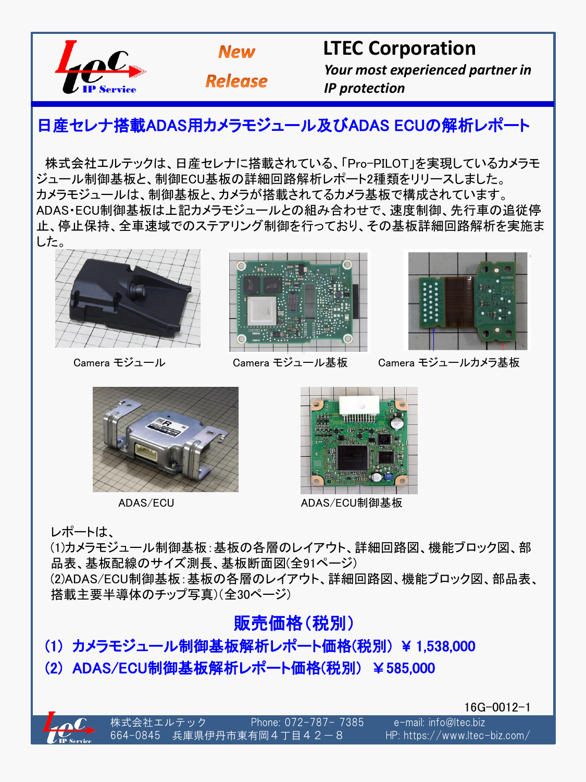



**Release** 

 **LTEC Corporation** 

 *Your most experienced partner in IP protection*

# 日産セレナ搭載ADAS用カメラモジュール及びADAS ECUの解析レポート

株式会社エルテックは、日産セレナに搭載されている、「Pro-PILOT」を実現しているカメラモ ジュール制御基板と、制御ECU基板の詳細回路解析レポート2種類をリリースしました。 カメラモジュールは、制御基板と、カメラが搭載されてるカメラ基板で構成されています。 ADAS・ECU制御基板は上記カメラモジュールとの組み合わせで、速度制御、先行車の追従停 止、停止保持、全車速域でのステアリング制御を行っており、その基板詳細回路解析を実施ま した。





Camera モジュール Camera モジュール基板



Camera モジュールカメラ基板





ADAS/ECU ADAS/ECU制御基板

レポートは、

(1)カメラモジュール制御基板:基板の各層のレイアウト、詳細回路図、機能ブロック図、部 品表、基板配線のサイズ測長、基板断面図(全91ページ) (2)ADAS/ECU制御基板:基板の各層のレイアウト、詳細回路図、機能ブロック図、部品表、 搭載主要半導体のチップ写真)(全30ページ)

#### 販売価格(税別)

# (1) カメラモジュール制御基板解析レポート価格(税別) ¥ 1,538,000 (2) ADAS/ECU制御基板解析レポート価格(税別) ¥585,000

16G-0012-1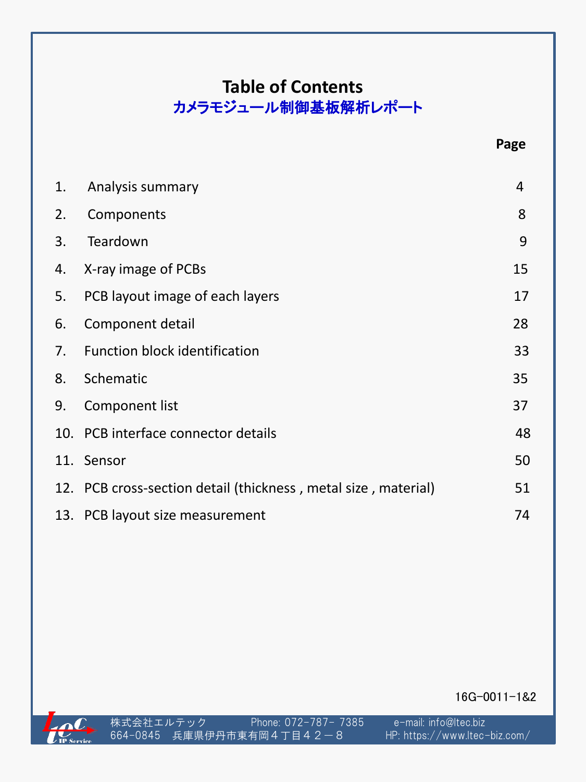#### **Table of Contents**  カメラモジュール制御基板解析レポート

| 1. | Analysis summary                                               | 4  |
|----|----------------------------------------------------------------|----|
| 2. | Components                                                     | 8  |
| 3. | Teardown                                                       | 9  |
| 4. | X-ray image of PCBs                                            | 15 |
| 5. | PCB layout image of each layers                                | 17 |
| 6. | Component detail                                               | 28 |
| 7. | <b>Function block identification</b>                           | 33 |
| 8. | Schematic                                                      | 35 |
| 9. | Component list                                                 | 37 |
|    | 10. PCB interface connector details                            | 48 |
|    | 11. Sensor                                                     | 50 |
|    | 12. PCB cross-section detail (thickness, metal size, material) | 51 |
|    | 13. PCB layout size measurement                                | 74 |

16G-0011-1&2